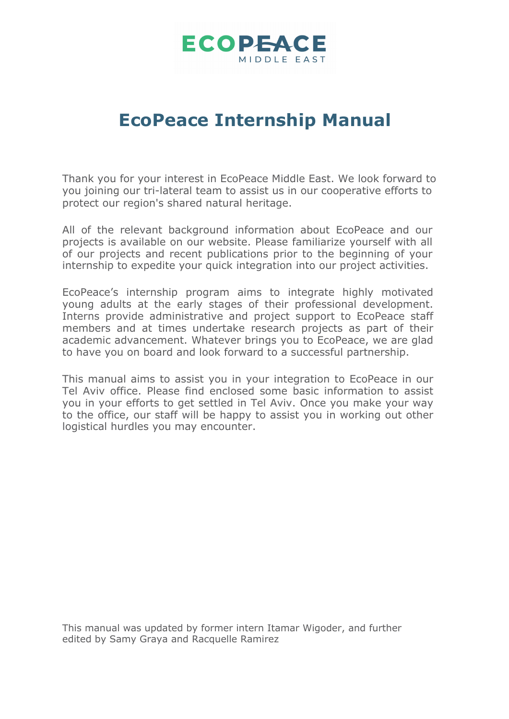

# **EcoPeace Internship Manual**

Thank you for your interest in EcoPeace Middle East. We look forward to you joining our tri-lateral team to assist us in our cooperative efforts to protect our region's shared natural heritage.

All of the relevant background information about EcoPeace and our projects is available on our website. Please familiarize yourself with all of our projects and recent publications prior to the beginning of your internship to expedite your quick integration into our project activities.

EcoPeace's internship program aims to integrate highly motivated young adults at the early stages of their professional development. Interns provide administrative and project support to EcoPeace staff members and at times undertake research projects as part of their academic advancement. Whatever brings you to EcoPeace, we are glad to have you on board and look forward to a successful partnership.

This manual aims to assist you in your integration to EcoPeace in our Tel Aviv office. Please find enclosed some basic information to assist you in your efforts to get settled in Tel Aviv. Once you make your way to the office, our staff will be happy to assist you in working out other logistical hurdles you may encounter.

This manual was updated by former intern Itamar Wigoder, and further edited by Samy Graya and Racquelle Ramirez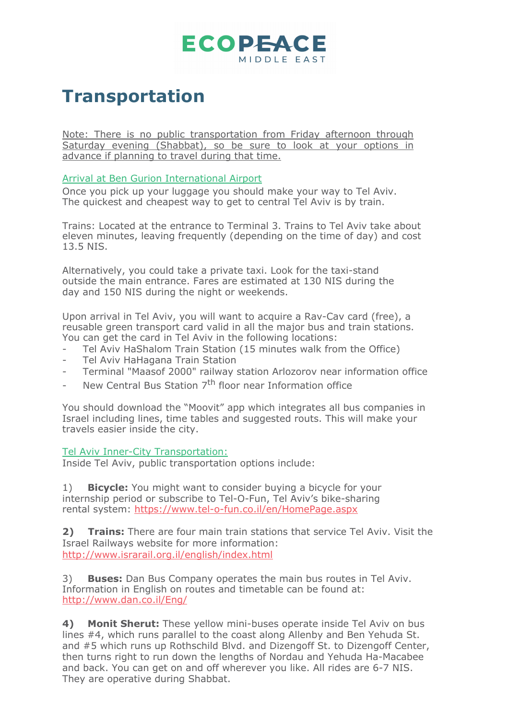

# **Transportation**

Note: There is no public transportation from Friday afternoon through Saturday evening (Shabbat), so be sure to look at your options in advance if planning to travel during that time.

#### Arrival at Ben Gurion International Airport

Once you pick up your luggage you should make your way to Tel Aviv. The quickest and cheapest way to get to central Tel Aviv is by train.

Trains: Located at the entrance to Terminal 3. Trains to Tel Aviv take about eleven minutes, leaving frequently (depending on the time of day) and cost 13.5 NIS.

Alternatively, you could take a private taxi. Look for the taxi-stand outside the main entrance. Fares are estimated at 130 NIS during the day and 150 NIS during the night or weekends.

Upon arrival in Tel Aviv, you will want to acquire a Rav-Cav card (free), a reusable green transport card valid in all the major bus and train stations. You can get the card in Tel Aviv in the following locations:

- Tel Aviv HaShalom Train Station (15 minutes walk from the Office)
- Tel Aviv HaHagana Train Station
- Terminal "Maasof 2000" railway station Arlozorov near information office
- New Central Bus Station  $7<sup>th</sup>$  floor near Information office

You should download the "Moovit" app which integrates all bus companies in Israel including lines, time tables and suggested routs. This will make your travels easier inside the city.

#### Tel Aviv Inner-City Transportation:

Inside Tel Aviv, public transportation options include:

1) **Bicycle:** You might want to consider buying a bicycle for your internship period or subscribe to Tel-O-Fun, Tel Aviv's bike-sharing rental system: https://www.tel-o-fun.co.il/en/HomePage.aspx

**2) Trains:** There are four main train stations that service Tel Aviv. Visit the Israel Railways website for more information: http://www.israrail.org.il/english/index.html

3) **Buses:** Dan Bus Company operates the main bus routes in Tel Aviv. Information in English on routes and timetable can be found at: http://www.dan.co.il/Eng/

**4) Monit Sherut:** These yellow mini-buses operate inside Tel Aviv on bus lines #4, which runs parallel to the coast along Allenby and Ben Yehuda St. and #5 which runs up Rothschild Blvd. and Dizengoff St. to Dizengoff Center, then turns right to run down the lengths of Nordau and Yehuda Ha-Macabee and back. You can get on and off wherever you like. All rides are 6-7 NIS. They are operative during Shabbat.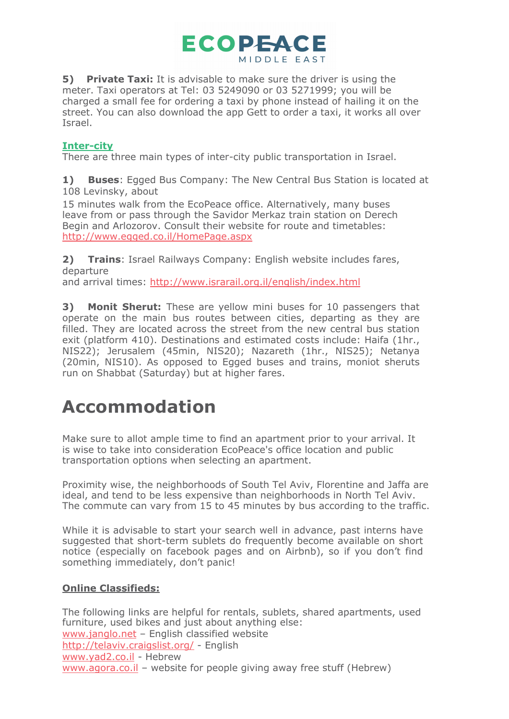

**5) Private Taxi:** It is advisable to make sure the driver is using the meter. Taxi operators at Tel: 03 5249090 or 03 5271999; you will be charged a small fee for ordering a taxi by phone instead of hailing it on the street. You can also download the app Gett to order a taxi, it works all over Israel.

### **Inter-city**

There are three main types of inter-city public transportation in Israel.

**1) Buses**: Egged Bus Company: The New Central Bus Station is located at 108 Levinsky, about

15 minutes walk from the EcoPeace office. Alternatively, many buses leave from or pass through the Savidor Merkaz train station on Derech Begin and Arlozorov. Consult their website for route and timetables: http://www.egged.co.il/HomePage.aspx

**2) Trains**: Israel Railways Company: English website includes fares, departure

and arrival times: http://www.israrail.org.il/english/index.html

**3) Monit Sherut:** These are yellow mini buses for 10 passengers that operate on the main bus routes between cities, departing as they are filled. They are located across the street from the new central bus station exit (platform 410). Destinations and estimated costs include: Haifa (1hr., NIS22); Jerusalem (45min, NIS20); Nazareth (1hr., NIS25); Netanya (20min, NIS10). As opposed to Egged buses and trains, moniot sheruts run on Shabbat (Saturday) but at higher fares.

# **Accommodation**

Make sure to allot ample time to find an apartment prior to your arrival. It is wise to take into consideration EcoPeace's office location and public transportation options when selecting an apartment.

Proximity wise, the neighborhoods of South Tel Aviv, Florentine and Jaffa are ideal, and tend to be less expensive than neighborhoods in North Tel Aviv. The commute can vary from 15 to 45 minutes by bus according to the traffic.

While it is advisable to start your search well in advance, past interns have suggested that short-term sublets do frequently become available on short notice (especially on facebook pages and on Airbnb), so if you don't find something immediately, don't panic!

### **Online Classifieds:**

The following links are helpful for rentals, sublets, shared apartments, used furniture, used bikes and just about anything else: www.janglo.net – English classified website http://telaviv.craigslist.org/ - English www.yad2.co.il - Hebrew www.agora.co.il – website for people giving away free stuff (Hebrew)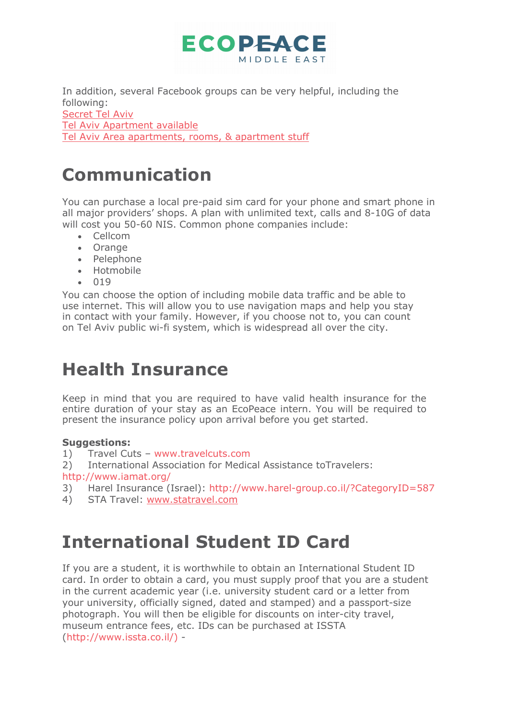

In addition, several Facebook groups can be very helpful, including the following: Secret Tel Aviv Tel Aviv Apartment available Tel Aviv Area apartments, rooms, & apartment stuff

# **Communication**

You can purchase a local pre-paid sim card for your phone and smart phone in all major providers' shops. A plan with unlimited text, calls and 8-10G of data will cost you 50-60 NIS. Common phone companies include:

- Cellcom
- Orange
- Pelephone
- Hotmobile
- 019

You can choose the option of including mobile data traffic and be able to use internet. This will allow you to use navigation maps and help you stay in contact with your family. However, if you choose not to, you can count on Tel Aviv public wi-fi system, which is widespread all over the city.

## **Health Insurance**

Keep in mind that you are required to have valid health insurance for the entire duration of your stay as an EcoPeace intern. You will be required to present the insurance policy upon arrival before you get started.

### **Suggestions:**

- 1) Travel Cuts www.travelcuts.com
- 2) International Association for Medical Assistance toTravelers:
- http://www.iamat.org/
- 3) Harel Insurance (Israel): http://www.harel-group.co.il/?CategoryID=587
- 4) STA Travel: www.statravel.com

# **International Student ID Card**

If you are a student, it is worthwhile to obtain an International Student ID card. In order to obtain a card, you must supply proof that you are a student in the current academic year (i.e. university student card or a letter from your university, officially signed, dated and stamped) and a passport-size photograph. You will then be eligible for discounts on inter-city travel, museum entrance fees, etc. IDs can be purchased at ISSTA (http://www.issta.co.il/) -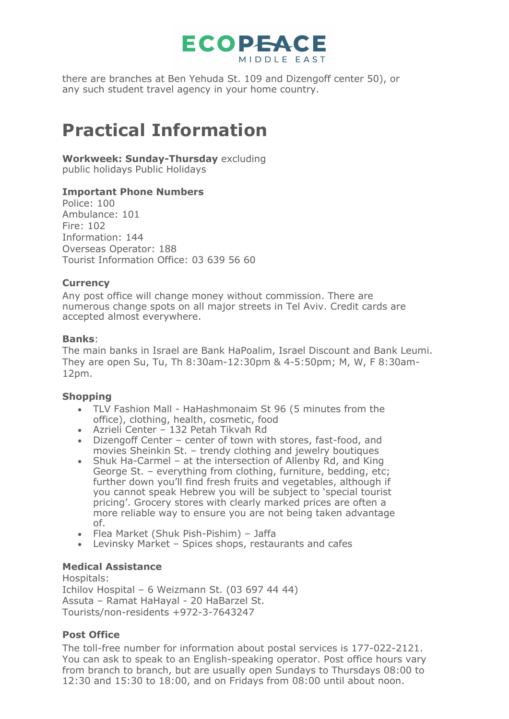

there are branches at Ben Yehuda St. 109 and Dizengoff center 50), or any such student travel agency in your home country.

# **Practical Information**

### **Workweek: Sunday-Thursday** excluding

public holidays Public Holidays

### **Important Phone Numbers**

Police: 100 Ambulance: 101 Fire: 102 Information: 144 Overseas Operator: 188 Tourist Information Office: 03 639 56 60

### **Currency**

Any post office will change money without commission. There are numerous change spots on all major streets in Tel Aviv. Credit cards are accepted almost everywhere.

### **Banks**:

The main banks in Israel are Bank HaPoalim, Israel Discount and Bank Leumi. They are open Su, Tu, Th 8:30am-12:30pm & 4-5:50pm; M, W, F 8:30am-12pm.

### **Shopping**

- TLV Fashion Mall HaHashmonaim St 96 (5 minutes from the office), clothing, health, cosmetic, food
- Azrieli Center 132 Petah Tikvah Rd
- Dizengoff Center center of town with stores, fast-food, and movies Sheinkin St. – trendy clothing and jewelry boutiques
- Shuk Ha-Carmel at the intersection of Allenby Rd, and King George St. – everything from clothing, furniture, bedding, etc; further down you'll find fresh fruits and vegetables, although if you cannot speak Hebrew you will be subject to 'special tourist pricing'. Grocery stores with clearly marked prices are often a more reliable way to ensure you are not being taken advantage of.
- Flea Market (Shuk Pish-Pishim) Jaffa
- Levinsky Market Spices shops, restaurants and cafes

### **Medical Assistance**

Hospitals: Ichilov Hospital – 6 Weizmann St. (03 697 44 44) Assuta – Ramat HaHayal - 20 HaBarzel St. Tourists/non-residents +972-3-7643247

### **Post Office**

The toll-free number for information about postal services is 177-022-2121. You can ask to speak to an English-speaking operator. Post office hours vary from branch to branch, but are usually open Sundays to Thursdays 08:00 to 12:30 and 15:30 to 18:00, and on Fridays from 08:00 until about noon.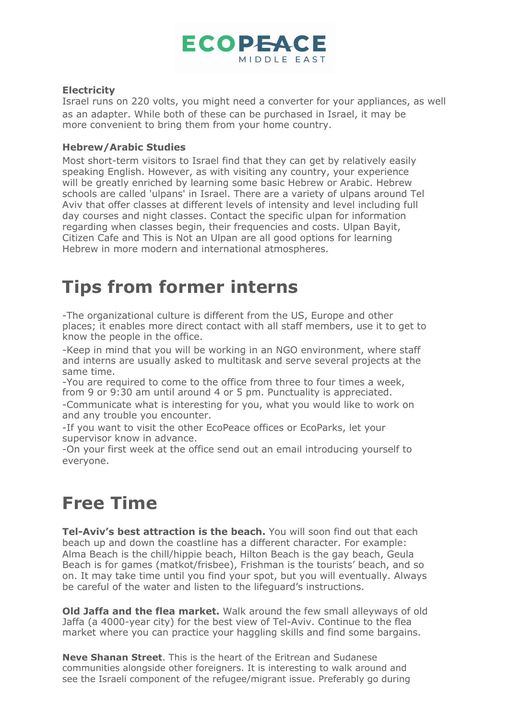

#### **Electricity**

Israel runs on 220 volts, you might need a converter for your appliances, as well as an adapter. While both of these can be purchased in Israel, it may be more convenient to bring them from your home country.

#### **Hebrew/Arabic Studies**

Most short-term visitors to Israel find that they can get by relatively easily speaking English. However, as with visiting any country, your experience will be greatly enriched by learning some basic Hebrew or Arabic. Hebrew schools are called 'ulpans' in Israel. There are a variety of ulpans around Tel Aviv that offer classes at different levels of intensity and level including full day courses and night classes. Contact the specific ulpan for information regarding when classes begin, their frequencies and costs. Ulpan Bayit, Citizen Cafe and This is Not an Ulpan are all good options for learning Hebrew in more modern and international atmospheres.

# **Tips from former interns**

-The organizational culture is different from the US, Europe and other places; it enables more direct contact with all staff members, use it to get to know the people in the office.

-Keep in mind that you will be working in an NGO environment, where staff and interns are usually asked to multitask and serve several projects at the same time.

-You are required to come to the office from three to four times a week, from 9 or 9:30 am until around 4 or 5 pm. Punctuality is appreciated.

-Communicate what is interesting for you, what you would like to work on and any trouble you encounter.

-If you want to visit the other EcoPeace offices or EcoParks, let your supervisor know in advance.

-On your first week at the office send out an email introducing yourself to everyone.

## **Free Time**

**Tel-Aviv's best attraction is the beach.** You will soon find out that each beach up and down the coastline has a different character. For example: Alma Beach is the chill/hippie beach, Hilton Beach is the gay beach, Geula Beach is for games (matkot/frisbee), Frishman is the tourists' beach, and so on. It may take time until you find your spot, but you will eventually. Always be careful of the water and listen to the lifeguard's instructions.

**Old Jaffa and the flea market.** Walk around the few small alleyways of old Jaffa (a 4000-year city) for the best view of Tel-Aviv. Continue to the flea market where you can practice your haggling skills and find some bargains.

**Neve Shanan Street**. This is the heart of the Eritrean and Sudanese communities alongside other foreigners. It is interesting to walk around and see the Israeli component of the refugee/migrant issue. Preferably go during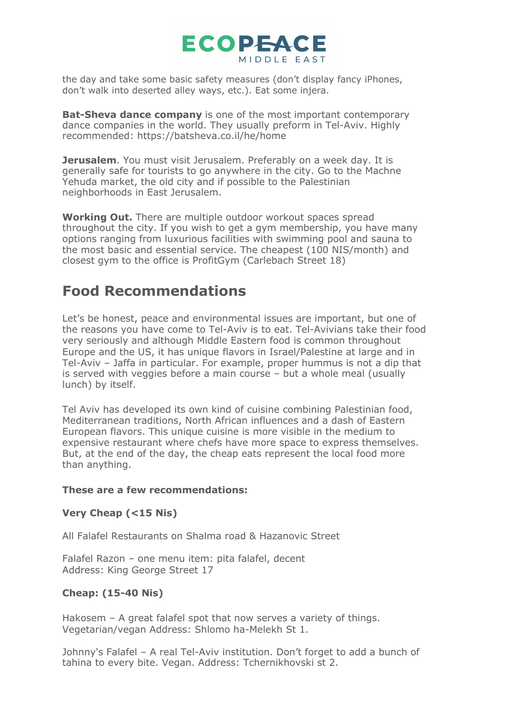

the day and take some basic safety measures (don't display fancy iPhones, don't walk into deserted alley ways, etc.). Eat some injera.

**Bat-Sheva dance company** is one of the most important contemporary dance companies in the world. They usually preform in Tel-Aviv. Highly recommended: https://batsheva.co.il/he/home

**Jerusalem**. You must visit Jerusalem. Preferably on a week day. It is generally safe for tourists to go anywhere in the city. Go to the Machne Yehuda market, the old city and if possible to the Palestinian neighborhoods in East Jerusalem.

**Working Out.** There are multiple outdoor workout spaces spread throughout the city. If you wish to get a gym membership, you have many options ranging from luxurious facilities with swimming pool and sauna to the most basic and essential service. The cheapest (100 NIS/month) and closest gym to the office is ProfitGym (Carlebach Street 18)

### **Food Recommendations**

Let's be honest, peace and environmental issues are important, but one of the reasons you have come to Tel-Aviv is to eat. Tel-Avivians take their food very seriously and although Middle Eastern food is common throughout Europe and the US, it has unique flavors in Israel/Palestine at large and in Tel-Aviv – Jaffa in particular. For example, proper hummus is not a dip that is served with veggies before a main course – but a whole meal (usually lunch) by itself.

Tel Aviv has developed its own kind of cuisine combining Palestinian food, Mediterranean traditions, North African influences and a dash of Eastern European flavors. This unique cuisine is more visible in the medium to expensive restaurant where chefs have more space to express themselves. But, at the end of the day, the cheap eats represent the local food more than anything.

### **These are a few recommendations:**

### **Very Cheap (<15 Nis)**

All Falafel Restaurants on Shalma road & Hazanovic Street

Falafel Razon – one menu item: pita falafel, decent Address: King George Street 17

### **Cheap: (15-40 Nis)**

Hakosem – A great falafel spot that now serves a variety of things. Vegetarian/vegan Address: Shlomo ha-Melekh St 1.

Johnny's Falafel – A real Tel-Aviv institution. Don't forget to add a bunch of tahina to every bite. Vegan. Address: Tchernikhovski st 2.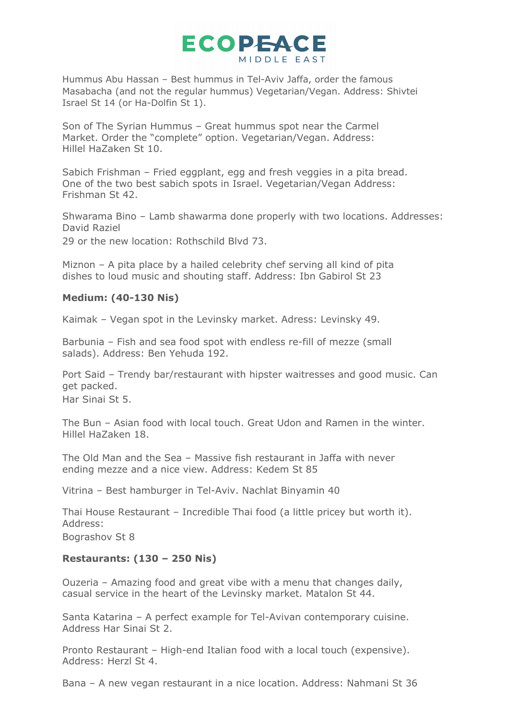

Hummus Abu Hassan – Best hummus in Tel-Aviv Jaffa, order the famous Masabacha (and not the regular hummus) Vegetarian/Vegan. Address: Shivtei Israel St 14 (or Ha-Dolfin St 1).

Son of The Syrian Hummus – Great hummus spot near the Carmel Market. Order the "complete" option. Vegetarian/Vegan. Address: Hillel HaZaken St 10.

Sabich Frishman – Fried eggplant, egg and fresh veggies in a pita bread. One of the two best sabich spots in Israel. Vegetarian/Vegan Address: Frishman St 42.

Shwarama Bino – Lamb shawarma done properly with two locations. Addresses: David Raziel

29 or the new location: Rothschild Blvd 73.

Miznon – A pita place by a hailed celebrity chef serving all kind of pita dishes to loud music and shouting staff. Address: Ibn Gabirol St 23

#### **Medium: (40-130 Nis)**

Kaimak – Vegan spot in the Levinsky market. Adress: Levinsky 49.

Barbunia – Fish and sea food spot with endless re-fill of mezze (small salads). Address: Ben Yehuda 192.

Port Said – Trendy bar/restaurant with hipster waitresses and good music. Can get packed. Har Sinai St 5.

The Bun – Asian food with local touch. Great Udon and Ramen in the winter. Hillel HaZaken 18.

The Old Man and the Sea – Massive fish restaurant in Jaffa with never ending mezze and a nice view. Address: Kedem St 85

Vitrina – Best hamburger in Tel-Aviv. Nachlat Binyamin 40

Thai House Restaurant – Incredible Thai food (a little pricey but worth it). Address:

Bograshov St 8

#### **Restaurants: (130 – 250 Nis)**

Ouzeria – Amazing food and great vibe with a menu that changes daily, casual service in the heart of the Levinsky market. Matalon St 44.

Santa Katarina – A perfect example for Tel-Avivan contemporary cuisine. Address Har Sinai St 2.

Pronto Restaurant – High-end Italian food with a local touch (expensive). Address: Herzl St 4.

Bana – A new vegan restaurant in a nice location. Address: Nahmani St 36